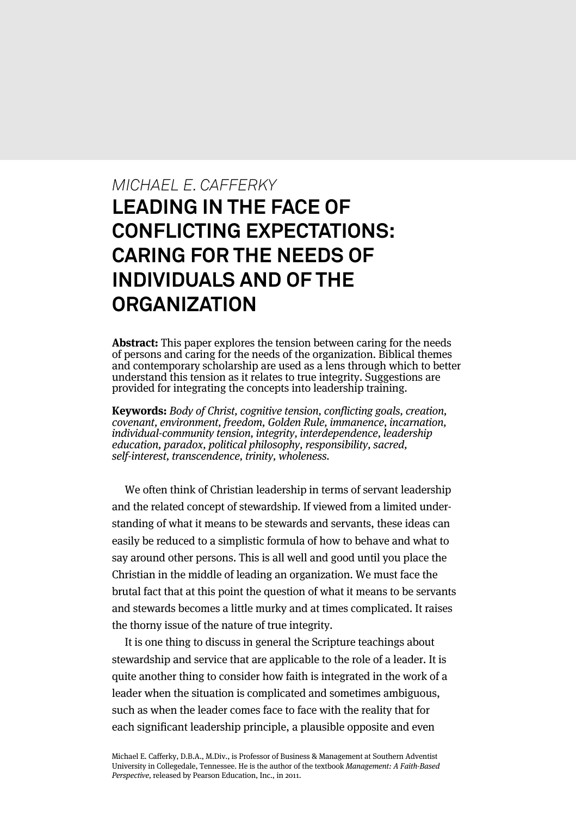# *MICHAEL E. CAFFERKY* **LEADING IN THE FACE OF CONFLICTING EXPECTATIONS: CARING FOR THE NEEDS OF INDIVIDUALS AND OF THE ORGANIZATION**

**Abstract:** This paper explores the tension between caring for the needs of persons and caring for the needs of the organization. Biblical themes and contemporary scholarship are used as a lens through which to better understand this tension as it relates to true integrity. Suggestions are provided for integrating the concepts into leadership training.

**Keywords:** Body of Christ, cognitive tension, conflicting goals, creation, covenant, environment, freedom, Golden Rule, immanence, incarnation, individual-community tension, integrity, interdependence, leadership education, paradox, political philosophy, responsibility, sacred, self-interest, transcendence, trinity, wholeness.

We often think of Christian leadership in terms of servant leadership and the related concept of stewardship. If viewed from a limited understanding of what it means to be stewards and servants, these ideas can easily be reduced to a simplistic formula of how to behave and what to say around other persons. This is all well and good until you place the Christian in the middle of leading an organization. We must face the brutal fact that at this point the question of what it means to be servants and stewards becomes a little murky and at times complicated. It raises the thorny issue of the nature of true integrity.

It is one thing to discuss in general the Scripture teachings about stewardship and service that are applicable to the role of a leader. It is quite another thing to consider how faith is integrated in the work of a leader when the situation is complicated and sometimes ambiguous, such as when the leader comes face to face with the reality that for each significant leadership principle, a plausible opposite and even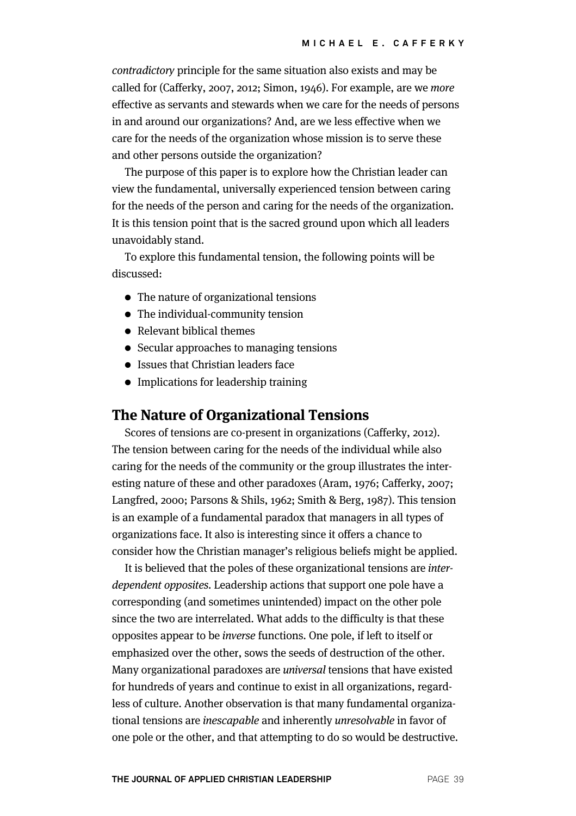contradictory principle for the same situation also exists and may be called for (Cafferky, 2007, 2012; Simon, 1946). For example, are we more effective as servants and stewards when we care for the needs of persons in and around our organizations? And, are we less effective when we care for the needs of the organization whose mission is to serve these and other persons outside the organization?

The purpose of this paper is to explore how the Christian leader can view the fundamental, universally experienced tension between caring for the needs of the person and caring for the needs of the organization. It is this tension point that is the sacred ground upon which all leaders unavoidably stand.

To explore this fundamental tension, the following points will be discussed:

- The nature of organizational tensions
- The individual-community tension
- Relevant biblical themes
- Secular approaches to managing tensions
- Issues that Christian leaders face
- Implications for leadership training

## **The Nature of Organizational Tensions**

Scores of tensions are co-present in organizations (Cafferky, 2012). The tension between caring for the needs of the individual while also caring for the needs of the community or the group illustrates the interesting nature of these and other paradoxes (Aram, 1976; Cafferky, 2007; Langfred, 2000; Parsons & Shils, 1962; Smith & Berg, 1987). This tension is an example of a fundamental paradox that managers in all types of organizations face. It also is interesting since it offers a chance to consider how the Christian manager's religious beliefs might be applied.

It is believed that the poles of these organizational tensions are interdependent opposites. Leadership actions that support one pole have a corresponding (and sometimes unintended) impact on the other pole since the two are interrelated. What adds to the difficulty is that these opposites appear to be inverse functions. One pole, if left to itself or emphasized over the other, sows the seeds of destruction of the other. Many organizational paradoxes are universal tensions that have existed for hundreds of years and continue to exist in all organizations, regardless of culture. Another observation is that many fundamental organizational tensions are inescapable and inherently unresolvable in favor of one pole or the other, and that attempting to do so would be destructive.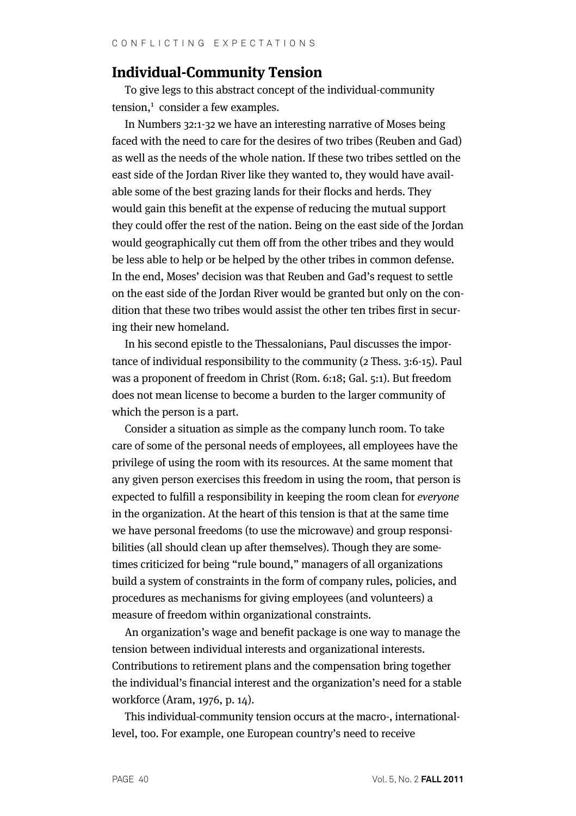# **Individual-Community Tension**

To give legs to this abstract concept of the individual-community  $tension<sub>1</sub>$  consider a few examples.

In Numbers 32:1-32 we have an interesting narrative of Moses being faced with the need to care for the desires of two tribes (Reuben and Gad) as well as the needs of the whole nation. If these two tribes settled on the east side of the Jordan River like they wanted to, they would have available some of the best grazing lands for their flocks and herds. They would gain this benefit at the expense of reducing the mutual support they could offer the rest of the nation. Being on the east side of the Jordan would geographically cut them off from the other tribes and they would be less able to help or be helped by the other tribes in common defense. In the end, Moses' decision was that Reuben and Gad's request to settle on the east side of the Jordan River would be granted but only on the condition that these two tribes would assist the other ten tribes first in securing their new homeland.

In his second epistle to the Thessalonians, Paul discusses the importance of individual responsibility to the community (2 Thess. 3:6-15). Paul was a proponent of freedom in Christ (Rom. 6:18; Gal. 5:1). But freedom does not mean license to become a burden to the larger community of which the person is a part.

Consider a situation as simple as the company lunch room. To take care of some of the personal needs of employees, all employees have the privilege of using the room with its resources. At the same moment that any given person exercises this freedom in using the room, that person is expected to fulfill a responsibility in keeping the room clean for everyone in the organization. At the heart of this tension is that at the same time we have personal freedoms (to use the microwave) and group responsibilities (all should clean up after themselves). Though they are sometimes criticized for being "rule bound," managers of all organizations build a system of constraints in the form of company rules, policies, and procedures as mechanisms for giving employees (and volunteers) a measure of freedom within organizational constraints.

An organization's wage and benefit package is one way to manage the tension between individual interests and organizational interests. Contributions to retirement plans and the compensation bring together the individual's financial interest and the organization's need for a stable workforce (Aram, 1976, p. 14).

This individual-community tension occurs at the macro-, internationallevel, too. For example, one European country's need to receive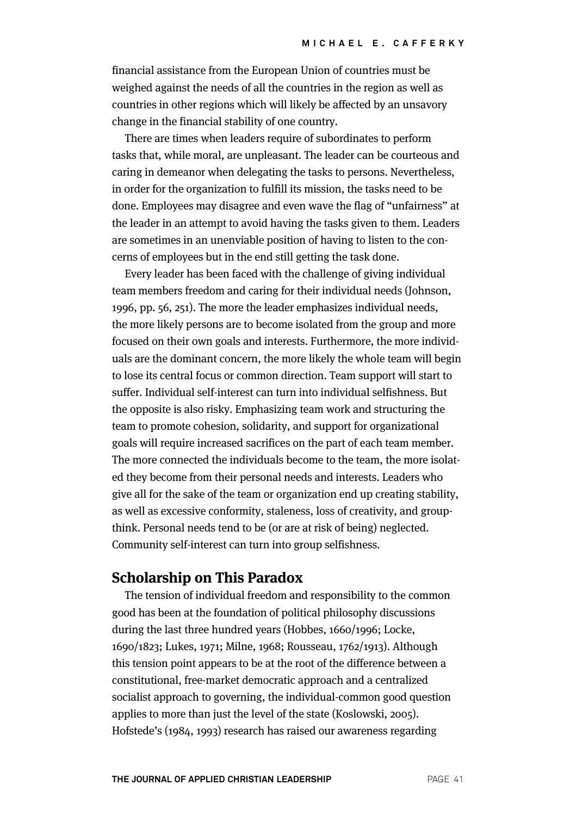financial assistance from the European Union of countries must be weighed against the needs of all the countries in the region as well as countries in other regions which will likely be affected by an unsavory change in the financial stability of one country.

There are times when leaders require of subordinates to perform tasks that, while moral, are unpleasant. The leader can be courteous and caring in demeanor when delegating the tasks to persons. Nevertheless, in order for the organization to fulfill its mission, the tasks need to be done. Employees may disagree and even wave the flag of "unfairness" at the leader in an attempt to avoid having the tasks given to them. Leaders are sometimes in an unenviable position of having to listen to the concerns of employees but in the end still getting the task done.

Every leader has been faced with the challenge of giving individual team members freedom and caring for their individual needs (Johnson, 1996, pp. 56, 251). The more the leader emphasizes individual needs, the more likely persons are to become isolated from the group and more focused on their own goals and interests. Furthermore, the more individuals are the dominant concern, the more likely the whole team will begin to lose its central focus or common direction. Team support will start to suffer. Individual self-interest can turn into individual selfishness. But the opposite is also risky. Emphasizing team work and structuring the team to promote cohesion, solidarity, and support for organizational goals will require increased sacrifices on the part of each team member. The more connected the individuals become to the team, the more isolated they become from their personal needs and interests. Leaders who give all for the sake of the team or organization end up creating stability, as well as excessive conformity, staleness, loss of creativity, and groupthink. Personal needs tend to be (or are at risk of being) neglected. Community self-interest can turn into group selfishness.

## **Scholarship on This Paradox**

The tension of individual freedom and responsibility to the common good has been at the foundation of political philosophy discussions during the last three hundred years (Hobbes, 1660/1996; Locke, 1690/1823; Lukes, 1971; Milne, 1968; Rousseau, 1762/1913). Although this tension point appears to be at the root of the difference between a constitutional, free-market democratic approach and a centralized socialist approach to governing, the individual-common good question applies to more than just the level of the state (Koslowski, 2005). Hofstede's (1984, 1993) research has raised our awareness regarding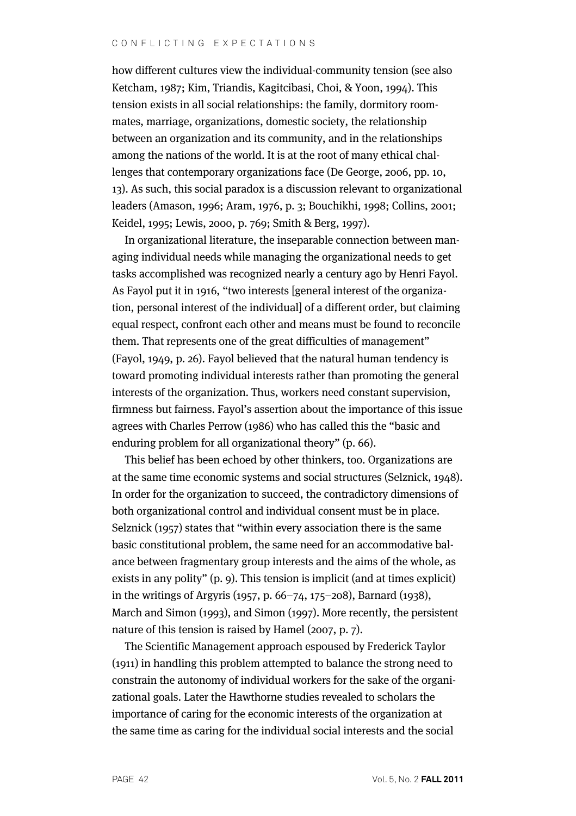#### CONFLICTING EXPECTATIONS

how different cultures view the individual-community tension (see also Ketcham, 1987; Kim, Triandis, Kagitcibasi, Choi, & Yoon, 1994). This tension exists in all social relationships: the family, dormitory roommates, marriage, organizations, domestic society, the relationship between an organization and its community, and in the relationships among the nations of the world. It is at the root of many ethical challenges that contemporary organizations face (De George, 2006, pp. 10, 13). As such, this social paradox is a discussion relevant to organizational leaders (Amason, 1996; Aram, 1976, p. 3; Bouchikhi, 1998; Collins, 2001; Keidel, 1995; Lewis, 2000, p. 769; Smith & Berg, 1997).

In organizational literature, the inseparable connection between managing individual needs while managing the organizational needs to get tasks accomplished was recognized nearly a century ago by Henri Fayol. As Fayol put it in 1916, "two interests [general interest of the organization, personal interest of the individual] of a different order, but claiming equal respect, confront each other and means must be found to reconcile them. That represents one of the great difficulties of management" (Fayol, 1949, p. 26). Fayol believed that the natural human tendency is toward promoting individual interests rather than promoting the general interests of the organization. Thus, workers need constant supervision, firmness but fairness. Fayol's assertion about the importance of this issue agrees with Charles Perrow (1986) who has called this the "basic and enduring problem for all organizational theory" (p. 66).

This belief has been echoed by other thinkers, too. Organizations are at the same time economic systems and social structures (Selznick, 1948). In order for the organization to succeed, the contradictory dimensions of both organizational control and individual consent must be in place. Selznick (1957) states that "within every association there is the same basic constitutional problem, the same need for an accommodative balance between fragmentary group interests and the aims of the whole, as exists in any polity" (p. 9). This tension is implicit (and at times explicit) in the writings of Argyris (1957, p. 66–74, 175–208), Barnard (1938), March and Simon (1993), and Simon (1997). More recently, the persistent nature of this tension is raised by Hamel (2007, p. 7).

The Scientific Management approach espoused by Frederick Taylor (1911) in handling this problem attempted to balance the strong need to constrain the autonomy of individual workers for the sake of the organizational goals. Later the Hawthorne studies revealed to scholars the importance of caring for the economic interests of the organization at the same time as caring for the individual social interests and the social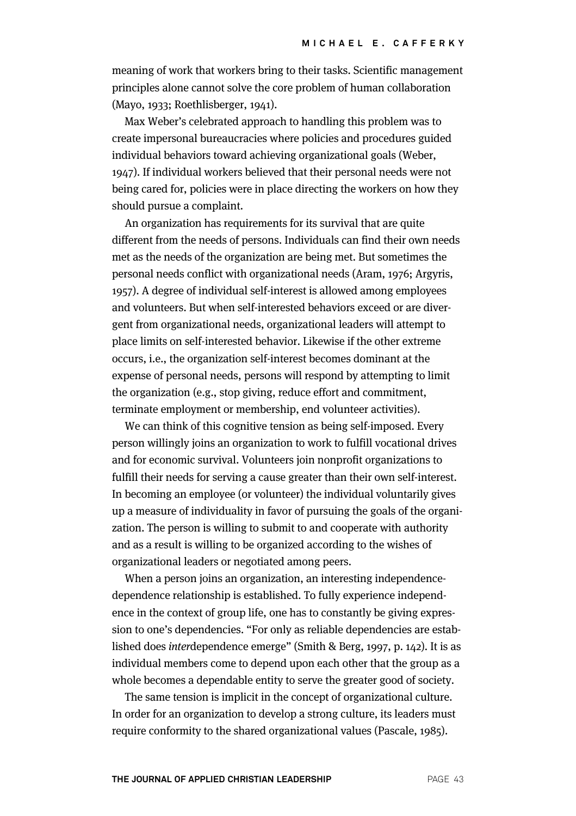meaning of work that workers bring to their tasks. Scientific management principles alone cannot solve the core problem of human collaboration (Mayo, 1933; Roethlisberger, 1941).

Max Weber's celebrated approach to handling this problem was to create impersonal bureaucracies where policies and procedures guided individual behaviors toward achieving organizational goals (Weber, 1947). If individual workers believed that their personal needs were not being cared for, policies were in place directing the workers on how they should pursue a complaint.

An organization has requirements for its survival that are quite different from the needs of persons. Individuals can find their own needs met as the needs of the organization are being met. But sometimes the personal needs conflict with organizational needs (Aram, 1976; Argyris, 1957). A degree of individual self-interest is allowed among employees and volunteers. But when self-interested behaviors exceed or are divergent from organizational needs, organizational leaders will attempt to place limits on self-interested behavior. Likewise if the other extreme occurs, i.e., the organization self-interest becomes dominant at the expense of personal needs, persons will respond by attempting to limit the organization (e.g., stop giving, reduce effort and commitment, terminate employment or membership, end volunteer activities).

We can think of this cognitive tension as being self-imposed. Every person willingly joins an organization to work to fulfill vocational drives and for economic survival. Volunteers join nonprofit organizations to fulfill their needs for serving a cause greater than their own self-interest. In becoming an employee (or volunteer) the individual voluntarily gives up a measure of individuality in favor of pursuing the goals of the organization. The person is willing to submit to and cooperate with authority and as a result is willing to be organized according to the wishes of organizational leaders or negotiated among peers.

When a person joins an organization, an interesting independencedependence relationship is established. To fully experience independence in the context of group life, one has to constantly be giving expression to one's dependencies. "For only as reliable dependencies are established does interdependence emerge" (Smith & Berg, 1997, p. 142). It is as individual members come to depend upon each other that the group as a whole becomes a dependable entity to serve the greater good of society.

The same tension is implicit in the concept of organizational culture. In order for an organization to develop a strong culture, its leaders must require conformity to the shared organizational values (Pascale, 1985).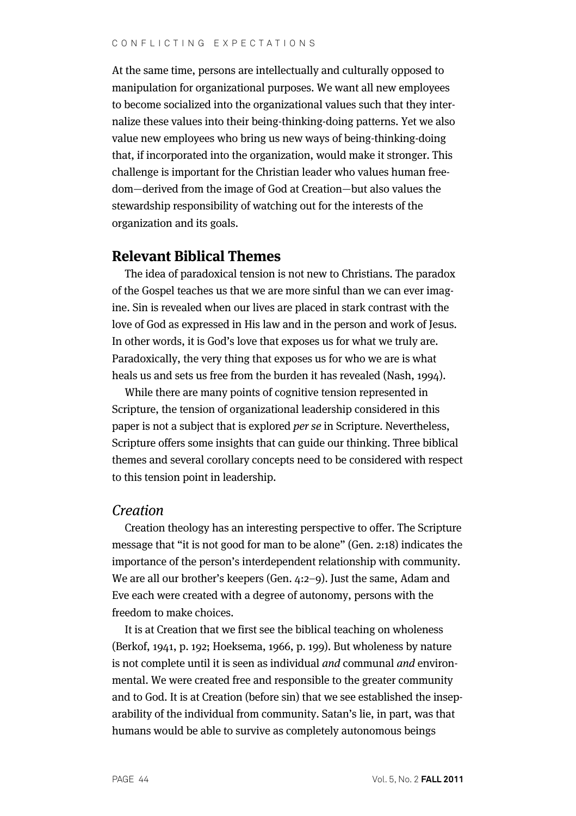At the same time, persons are intellectually and culturally opposed to manipulation for organizational purposes. We want all new employees to become socialized into the organizational values such that they internalize these values into their being-thinking-doing patterns. Yet we also value new employees who bring us new ways of being-thinking-doing that, if incorporated into the organization, would make it stronger. This challenge is important for the Christian leader who values human freedom—derived from the image of God at Creation—but also values the stewardship responsibility of watching out for the interests of the organization and its goals.

## **Relevant Biblical Themes**

The idea of paradoxical tension is not new to Christians. The paradox of the Gospel teaches us that we are more sinful than we can ever imagine. Sin is revealed when our lives are placed in stark contrast with the love of God as expressed in His law and in the person and work of Jesus. In other words, it is God's love that exposes us for what we truly are. Paradoxically, the very thing that exposes us for who we are is what heals us and sets us free from the burden it has revealed (Nash, 1994).

While there are many points of cognitive tension represented in Scripture, the tension of organizational leadership considered in this paper is not a subject that is explored per se in Scripture. Nevertheless, Scripture offers some insights that can guide our thinking. Three biblical themes and several corollary concepts need to be considered with respect to this tension point in leadership.

## Creation

Creation theology has an interesting perspective to offer. The Scripture message that "it is not good for man to be alone" (Gen. 2:18) indicates the importance of the person's interdependent relationship with community. We are all our brother's keepers (Gen. 4:2–9). Just the same, Adam and Eve each were created with a degree of autonomy, persons with the freedom to make choices.

It is at Creation that we first see the biblical teaching on wholeness (Berkof, 1941, p. 192; Hoeksema, 1966, p. 199). But wholeness by nature is not complete until it is seen as individual and communal and environmental. We were created free and responsible to the greater community and to God. It is at Creation (before sin) that we see established the inseparability of the individual from community. Satan's lie, in part, was that humans would be able to survive as completely autonomous beings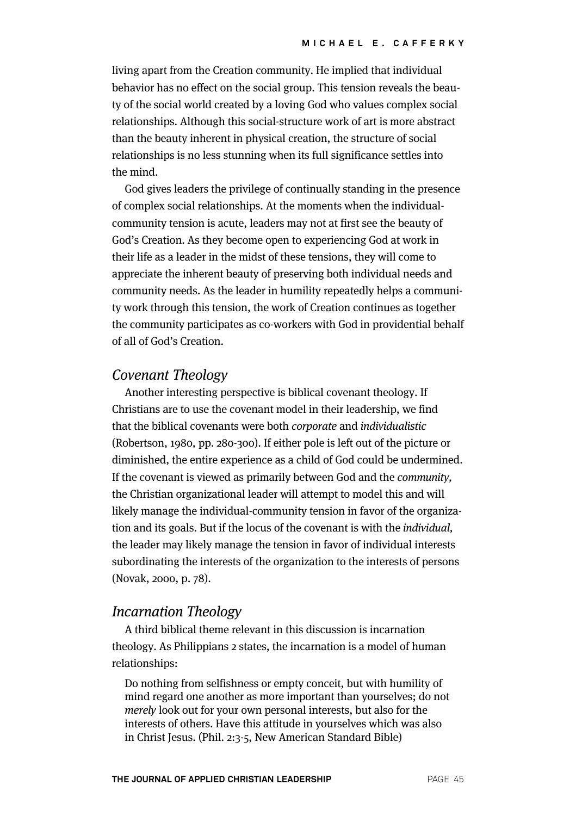living apart from the Creation community. He implied that individual behavior has no effect on the social group. This tension reveals the beauty of the social world created by a loving God who values complex social relationships. Although this social-structure work of art is more abstract than the beauty inherent in physical creation, the structure of social relationships is no less stunning when its full significance settles into the mind.

God gives leaders the privilege of continually standing in the presence of complex social relationships. At the moments when the individualcommunity tension is acute, leaders may not at first see the beauty of God's Creation. As they become open to experiencing God at work in their life as a leader in the midst of these tensions, they will come to appreciate the inherent beauty of preserving both individual needs and community needs. As the leader in humility repeatedly helps a community work through this tension, the work of Creation continues as together the community participates as co-workers with God in providential behalf of all of God's Creation.

#### Covenant Theology

Another interesting perspective is biblical covenant theology. If Christians are to use the covenant model in their leadership, we find that the biblical covenants were both corporate and individualistic (Robertson, 1980, pp. 280-300). If either pole is left out of the picture or diminished, the entire experience as a child of God could be undermined. If the covenant is viewed as primarily between God and the community, the Christian organizational leader will attempt to model this and will likely manage the individual-community tension in favor of the organization and its goals. But if the locus of the covenant is with the individual, the leader may likely manage the tension in favor of individual interests subordinating the interests of the organization to the interests of persons (Novak, 2000, p. 78).

#### Incarnation Theology

A third biblical theme relevant in this discussion is incarnation theology. As Philippians 2 states, the incarnation is a model of human relationships:

Do nothing from selfishness or empty conceit, but with humility of mind regard one another as more important than yourselves; do not merely look out for your own personal interests, but also for the interests of others. Have this attitude in yourselves which was also in Christ Jesus. (Phil. 2:3-5, New American Standard Bible)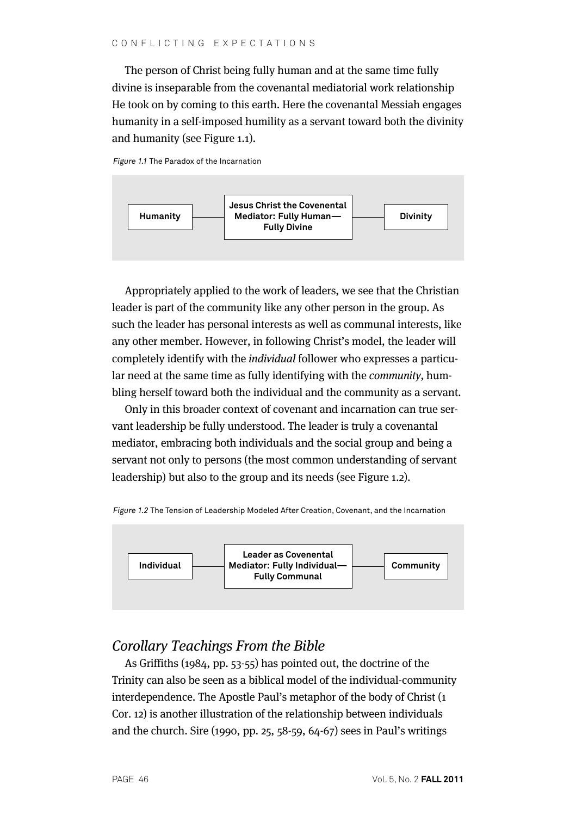The person of Christ being fully human and at the same time fully divine is inseparable from the covenantal mediatorial work relationship He took on by coming to this earth. Here the covenantal Messiah engages humanity in a self-imposed humility as a servant toward both the divinity and humanity (see Figure 1.1).

*Figure 1.1* The Paradox of the Incarnation



Appropriately applied to the work of leaders, we see that the Christian leader is part of the community like any other person in the group. As such the leader has personal interests as well as communal interests, like any other member. However, in following Christ's model, the leader will completely identify with the individual follower who expresses a particular need at the same time as fully identifying with the community, humbling herself toward both the individual and the community as a servant.

Only in this broader context of covenant and incarnation can true servant leadership be fully understood. The leader is truly a covenantal mediator, embracing both individuals and the social group and being a servant not only to persons (the most common understanding of servant leadership) but also to the group and its needs (see Figure 1.2).

*Figure 1.2* The Tension of Leadership Modeled After Creation, Covenant, and the Incarnation



# Corollary Teachings From the Bible

As Griffiths (1984, pp. 53-55) has pointed out, the doctrine of the Trinity can also be seen as a biblical model of the individual-community interdependence. The Apostle Paul's metaphor of the body of Christ (1 Cor. 12) is another illustration of the relationship between individuals and the church. Sire (1990, pp. 25, 58-59, 64-67) sees in Paul's writings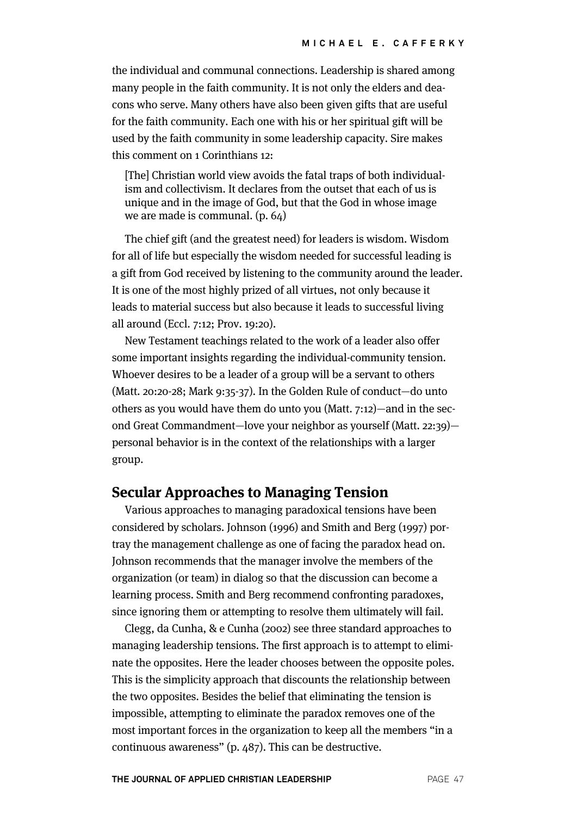the individual and communal connections. Leadership is shared among many people in the faith community. It is not only the elders and deacons who serve. Many others have also been given gifts that are useful for the faith community. Each one with his or her spiritual gift will be used by the faith community in some leadership capacity. Sire makes this comment on 1 Corinthians 12:

[The] Christian world view avoids the fatal traps of both individualism and collectivism. It declares from the outset that each of us is unique and in the image of God, but that the God in whose image we are made is communal. (p. 64)

The chief gift (and the greatest need) for leaders is wisdom. Wisdom for all of life but especially the wisdom needed for successful leading is a gift from God received by listening to the community around the leader. It is one of the most highly prized of all virtues, not only because it leads to material success but also because it leads to successful living all around (Eccl. 7:12; Prov. 19:20).

New Testament teachings related to the work of a leader also offer some important insights regarding the individual-community tension. Whoever desires to be a leader of a group will be a servant to others (Matt. 20:20-28; Mark 9:35-37). In the Golden Rule of conduct—do unto others as you would have them do unto you (Matt. 7:12)—and in the second Great Commandment—love your neighbor as yourself (Matt. 22:39) personal behavior is in the context of the relationships with a larger group.

## **Secular Approaches to Managing Tension**

Various approaches to managing paradoxical tensions have been considered by scholars. Johnson (1996) and Smith and Berg (1997) portray the management challenge as one of facing the paradox head on. Johnson recommends that the manager involve the members of the organization (or team) in dialog so that the discussion can become a learning process. Smith and Berg recommend confronting paradoxes, since ignoring them or attempting to resolve them ultimately will fail.

Clegg, da Cunha, & e Cunha (2002) see three standard approaches to managing leadership tensions. The first approach is to attempt to eliminate the opposites. Here the leader chooses between the opposite poles. This is the simplicity approach that discounts the relationship between the two opposites. Besides the belief that eliminating the tension is impossible, attempting to eliminate the paradox removes one of the most important forces in the organization to keep all the members "in a continuous awareness" (p. 487). This can be destructive.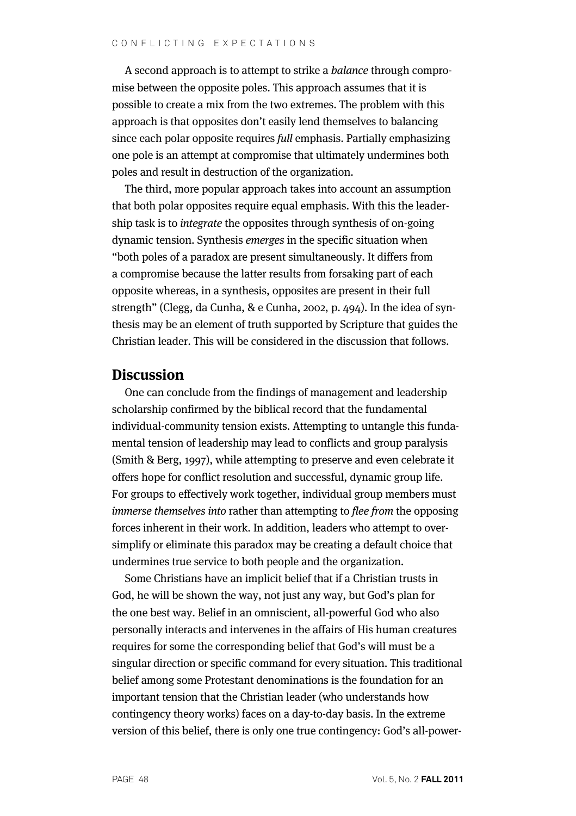A second approach is to attempt to strike a balance through compromise between the opposite poles. This approach assumes that it is possible to create a mix from the two extremes. The problem with this approach is that opposites don't easily lend themselves to balancing since each polar opposite requires full emphasis. Partially emphasizing one pole is an attempt at compromise that ultimately undermines both poles and result in destruction of the organization.

The third, more popular approach takes into account an assumption that both polar opposites require equal emphasis. With this the leadership task is to integrate the opposites through synthesis of on-going dynamic tension. Synthesis emerges in the specific situation when "both poles of a paradox are present simultaneously. It differs from a compromise because the latter results from forsaking part of each opposite whereas, in a synthesis, opposites are present in their full strength" (Clegg, da Cunha, & e Cunha, 2002, p. 494). In the idea of synthesis may be an element of truth supported by Scripture that guides the Christian leader. This will be considered in the discussion that follows.

## **Discussion**

One can conclude from the findings of management and leadership scholarship confirmed by the biblical record that the fundamental individual-community tension exists. Attempting to untangle this fundamental tension of leadership may lead to conflicts and group paralysis (Smith & Berg, 1997), while attempting to preserve and even celebrate it offers hope for conflict resolution and successful, dynamic group life. For groups to effectively work together, individual group members must immerse themselves into rather than attempting to flee from the opposing forces inherent in their work. In addition, leaders who attempt to oversimplify or eliminate this paradox may be creating a default choice that undermines true service to both people and the organization.

Some Christians have an implicit belief that if a Christian trusts in God, he will be shown the way, not just any way, but God's plan for the one best way. Belief in an omniscient, all-powerful God who also personally interacts and intervenes in the affairs of His human creatures requires for some the corresponding belief that God's will must be a singular direction or specific command for every situation. This traditional belief among some Protestant denominations is the foundation for an important tension that the Christian leader (who understands how contingency theory works) faces on a day-to-day basis. In the extreme version of this belief, there is only one true contingency: God's all-power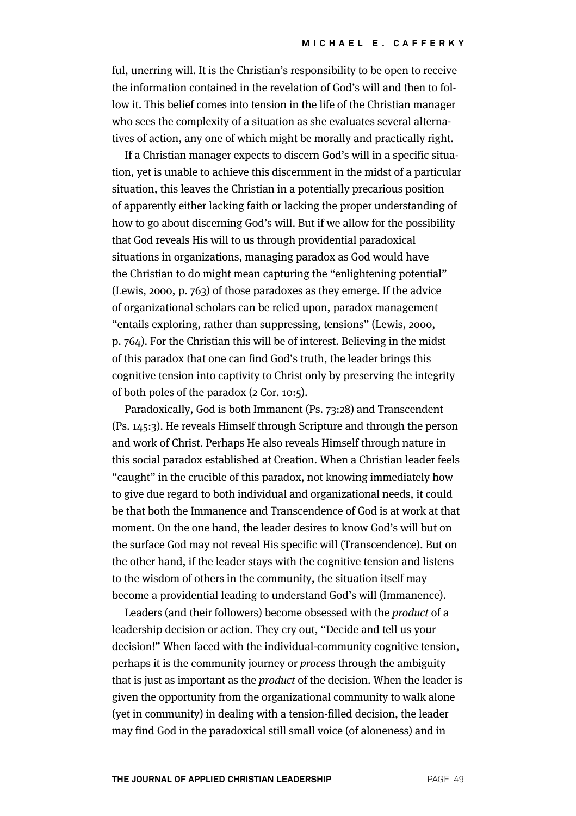ful, unerring will. It is the Christian's responsibility to be open to receive the information contained in the revelation of God's will and then to follow it. This belief comes into tension in the life of the Christian manager who sees the complexity of a situation as she evaluates several alternatives of action, any one of which might be morally and practically right.

If a Christian manager expects to discern God's will in a specific situation, yet is unable to achieve this discernment in the midst of a particular situation, this leaves the Christian in a potentially precarious position of apparently either lacking faith or lacking the proper understanding of how to go about discerning God's will. But if we allow for the possibility that God reveals His will to us through providential paradoxical situations in organizations, managing paradox as God would have the Christian to do might mean capturing the "enlightening potential" (Lewis, 2000, p. 763) of those paradoxes as they emerge. If the advice of organizational scholars can be relied upon, paradox management "entails exploring, rather than suppressing, tensions" (Lewis, 2000, p. 764). For the Christian this will be of interest. Believing in the midst of this paradox that one can find God's truth, the leader brings this cognitive tension into captivity to Christ only by preserving the integrity of both poles of the paradox (2 Cor. 10:5).

Paradoxically, God is both Immanent (Ps. 73:28) and Transcendent (Ps. 145:3). He reveals Himself through Scripture and through the person and work of Christ. Perhaps He also reveals Himself through nature in this social paradox established at Creation. When a Christian leader feels "caught" in the crucible of this paradox, not knowing immediately how to give due regard to both individual and organizational needs, it could be that both the Immanence and Transcendence of God is at work at that moment. On the one hand, the leader desires to know God's will but on the surface God may not reveal His specific will (Transcendence). But on the other hand, if the leader stays with the cognitive tension and listens to the wisdom of others in the community, the situation itself may become a providential leading to understand God's will (Immanence).

Leaders (and their followers) become obsessed with the product of a leadership decision or action. They cry out, "Decide and tell us your decision!" When faced with the individual-community cognitive tension, perhaps it is the community journey or process through the ambiguity that is just as important as the product of the decision. When the leader is given the opportunity from the organizational community to walk alone (yet in community) in dealing with a tension-filled decision, the leader may find God in the paradoxical still small voice (of aloneness) and in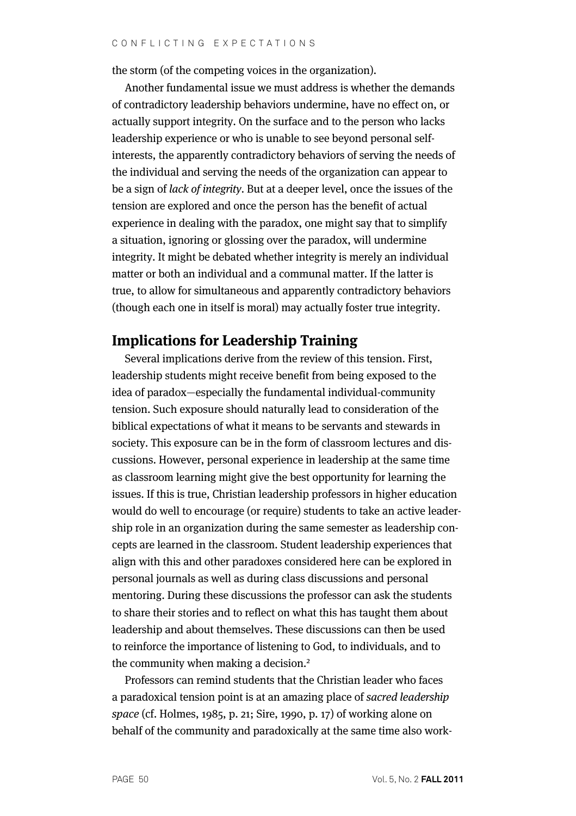the storm (of the competing voices in the organization).

Another fundamental issue we must address is whether the demands of contradictory leadership behaviors undermine, have no effect on, or actually support integrity. On the surface and to the person who lacks leadership experience or who is unable to see beyond personal selfinterests, the apparently contradictory behaviors of serving the needs of the individual and serving the needs of the organization can appear to be a sign of lack of integrity. But at a deeper level, once the issues of the tension are explored and once the person has the benefit of actual experience in dealing with the paradox, one might say that to simplify a situation, ignoring or glossing over the paradox, will undermine integrity. It might be debated whether integrity is merely an individual matter or both an individual and a communal matter. If the latter is true, to allow for simultaneous and apparently contradictory behaviors (though each one in itself is moral) may actually foster true integrity.

# **Implications for Leadership Training**

Several implications derive from the review of this tension. First, leadership students might receive benefit from being exposed to the idea of paradox—especially the fundamental individual-community tension. Such exposure should naturally lead to consideration of the biblical expectations of what it means to be servants and stewards in society. This exposure can be in the form of classroom lectures and discussions. However, personal experience in leadership at the same time as classroom learning might give the best opportunity for learning the issues. If this is true, Christian leadership professors in higher education would do well to encourage (or require) students to take an active leadership role in an organization during the same semester as leadership concepts are learned in the classroom. Student leadership experiences that align with this and other paradoxes considered here can be explored in personal journals as well as during class discussions and personal mentoring. During these discussions the professor can ask the students to share their stories and to reflect on what this has taught them about leadership and about themselves. These discussions can then be used to reinforce the importance of listening to God, to individuals, and to the community when making a decision.<sup>2</sup>

Professors can remind students that the Christian leader who faces a paradoxical tension point is at an amazing place of sacred leadership space (cf. Holmes, 1985, p. 21; Sire, 1990, p. 17) of working alone on behalf of the community and paradoxically at the same time also work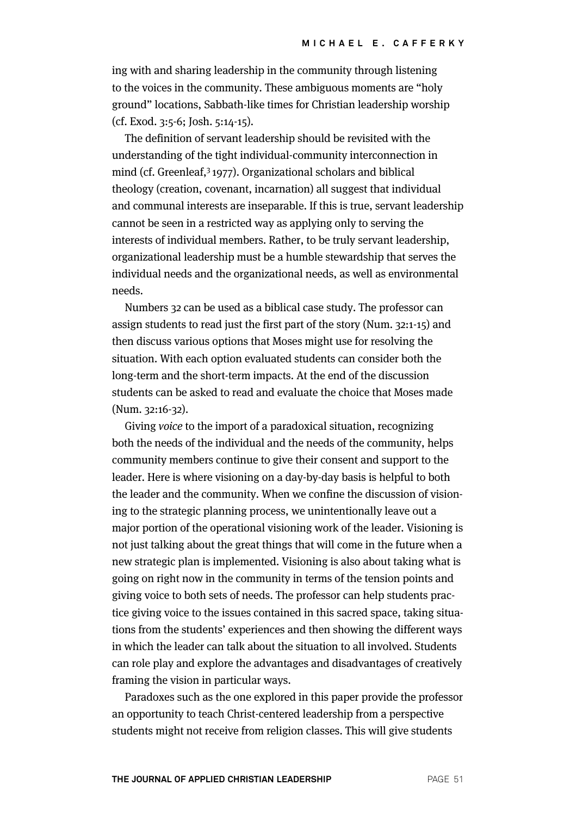ing with and sharing leadership in the community through listening to the voices in the community. These ambiguous moments are "holy ground" locations, Sabbath-like times for Christian leadership worship (cf. Exod. 3:5-6; Josh. 5:14-15).

The definition of servant leadership should be revisited with the understanding of the tight individual-community interconnection in mind (cf. Greenleaf, $3$  1977). Organizational scholars and biblical theology (creation, covenant, incarnation) all suggest that individual and communal interests are inseparable. If this is true, servant leadership cannot be seen in a restricted way as applying only to serving the interests of individual members. Rather, to be truly servant leadership, organizational leadership must be a humble stewardship that serves the individual needs and the organizational needs, as well as environmental needs.

Numbers 32 can be used as a biblical case study. The professor can assign students to read just the first part of the story (Num. 32:1-15) and then discuss various options that Moses might use for resolving the situation. With each option evaluated students can consider both the long-term and the short-term impacts. At the end of the discussion students can be asked to read and evaluate the choice that Moses made (Num. 32:16-32).

Giving voice to the import of a paradoxical situation, recognizing both the needs of the individual and the needs of the community, helps community members continue to give their consent and support to the leader. Here is where visioning on a day-by-day basis is helpful to both the leader and the community. When we confine the discussion of visioning to the strategic planning process, we unintentionally leave out a major portion of the operational visioning work of the leader. Visioning is not just talking about the great things that will come in the future when a new strategic plan is implemented. Visioning is also about taking what is going on right now in the community in terms of the tension points and giving voice to both sets of needs. The professor can help students practice giving voice to the issues contained in this sacred space, taking situations from the students' experiences and then showing the different ways in which the leader can talk about the situation to all involved. Students can role play and explore the advantages and disadvantages of creatively framing the vision in particular ways.

Paradoxes such as the one explored in this paper provide the professor an opportunity to teach Christ-centered leadership from a perspective students might not receive from religion classes. This will give students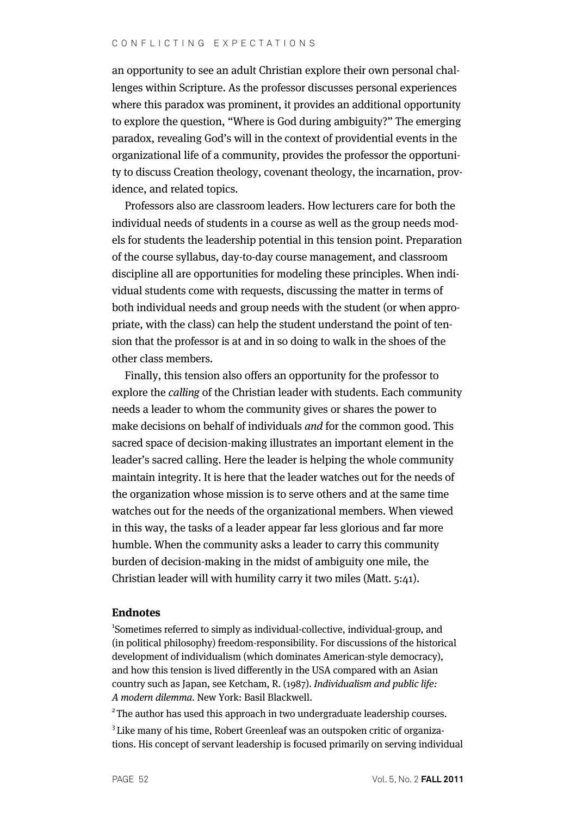#### CONFLICTING EXPECTATIONS

an opportunity to see an adult Christian explore their own personal challenges within Scripture. As the professor discusses personal experiences where this paradox was prominent, it provides an additional opportunity to explore the question, "Where is God during ambiguity?" The emerging paradox, revealing God's will in the context of providential events in the organizational life of a community, provides the professor the opportunity to discuss Creation theology, covenant theology, the incarnation, providence, and related topics.

Professors also are classroom leaders. How lecturers care for both the individual needs of students in a course as well as the group needs models for students the leadership potential in this tension point. Preparation of the course syllabus, day-to-day course management, and classroom discipline all are opportunities for modeling these principles. When individual students come with requests, discussing the matter in terms of both individual needs and group needs with the student (or when appropriate, with the class) can help the student understand the point of tension that the professor is at and in so doing to walk in the shoes of the other class members.

Finally, this tension also offers an opportunity for the professor to explore the calling of the Christian leader with students. Each community needs a leader to whom the community gives or shares the power to make decisions on behalf of individuals and for the common good. This sacred space of decision-making illustrates an important element in the leader's sacred calling. Here the leader is helping the whole community maintain integrity. It is here that the leader watches out for the needs of the organization whose mission is to serve others and at the same time watches out for the needs of the organizational members. When viewed in this way, the tasks of a leader appear far less glorious and far more humble. When the community asks a leader to carry this community burden of decision-making in the midst of ambiguity one mile, the Christian leader will with humility carry it two miles (Matt. 5:41).

#### **Endnotes**

1 Sometimes referred to simply as individual-collective, individual-group, and (in political philosophy) freedom-responsibility. For discussions of the historical development of individualism (which dominates American-style democracy), and how this tension is lived differently in the USA compared with an Asian country such as Japan, see Ketcham, R. (1987). Individualism and public life: A modern dilemma. New York: Basil Blackwell.

<sup>2</sup> The author has used this approach in two undergraduate leadership courses. <sup>3</sup> Like many of his time, Robert Greenleaf was an outspoken critic of organizations. His concept of servant leadership is focused primarily on serving individual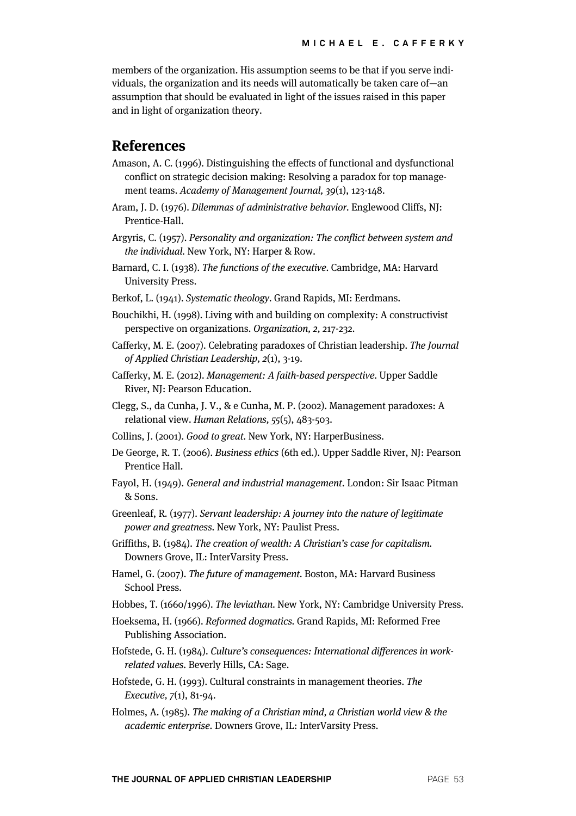members of the organization. His assumption seems to be that if you serve individuals, the organization and its needs will automatically be taken care of—an assumption that should be evaluated in light of the issues raised in this paper and in light of organization theory.

## **References**

- Amason, A. C. (1996). Distinguishing the effects of functional and dysfunctional conflict on strategic decision making: Resolving a paradox for top management teams. Academy of Management Journal, 39(1), 123-148.
- Aram, J. D. (1976). Dilemmas of administrative behavior. Englewood Cliffs, NJ: Prentice-Hall.
- Argyris, C. (1957). Personality and organization: The conflict between system and the individual. New York, NY: Harper & Row.
- Barnard, C. I. (1938). The functions of the executive. Cambridge, MA: Harvard University Press.
- Berkof, L. (1941). Systematic theology. Grand Rapids, MI: Eerdmans.
- Bouchikhi, H. (1998). Living with and building on complexity: A constructivist perspective on organizations. Organization, 2, 217-232.
- Cafferky, M. E. (2007). Celebrating paradoxes of Christian leadership. The Journal of Applied Christian Leadership, 2(1), 3-19.
- Cafferky, M. E. (2012). Management: A faith-based perspective. Upper Saddle River, NJ: Pearson Education.
- Clegg, S., da Cunha, J. V., & e Cunha, M. P. (2002). Management paradoxes: A relational view. Human Relations, 55(5), 483-503.
- Collins, J. (2001). Good to great. New York, NY: HarperBusiness.
- De George, R. T. (2006). Business ethics (6th ed.). Upper Saddle River, NJ: Pearson Prentice Hall.
- Fayol, H. (1949). General and industrial management. London: Sir Isaac Pitman & Sons.
- Greenleaf, R. (1977). Servant leadership: A journey into the nature of legitimate power and greatness. New York, NY: Paulist Press.
- Griffiths, B. (1984). The creation of wealth: A Christian's case for capitalism. Downers Grove, IL: InterVarsity Press.
- Hamel, G. (2007). The future of management. Boston, MA: Harvard Business School Press.
- Hobbes, T. (1660/1996). The leviathan. New York, NY: Cambridge University Press.
- Hoeksema, H. (1966). Reformed dogmatics. Grand Rapids, MI: Reformed Free Publishing Association.
- Hofstede, G. H. (1984). Culture's consequences: International differences in workrelated values. Beverly Hills, CA: Sage.
- Hofstede, G. H. (1993). Cultural constraints in management theories. The Executive, 7(1), 81-94.
- Holmes, A. (1985). The making of a Christian mind, a Christian world view & the academic enterprise. Downers Grove, IL: InterVarsity Press.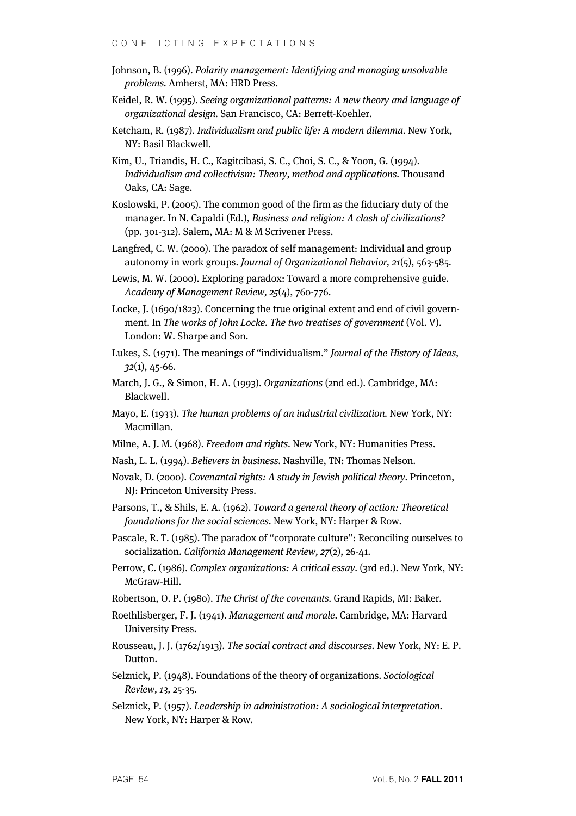- Johnson, B. (1996). Polarity management: Identifying and managing unsolvable problems. Amherst, MA: HRD Press.
- Keidel, R. W. (1995). Seeing organizational patterns: A new theory and language of organizational design. San Francisco, CA: Berrett-Koehler.
- Ketcham, R. (1987). Individualism and public life: A modern dilemma. New York, NY: Basil Blackwell.
- Kim, U., Triandis, H. C., Kagitcibasi, S. C., Choi, S. C., & Yoon, G. (1994). Individualism and collectivism: Theory, method and applications. Thousand Oaks, CA: Sage.
- Koslowski, P. (2005). The common good of the firm as the fiduciary duty of the manager. In N. Capaldi (Ed.), Business and religion: A clash of civilizations? (pp. 301-312). Salem, MA: M & M Scrivener Press.
- Langfred, C. W. (2000). The paradox of self management: Individual and group autonomy in work groups. Journal of Organizational Behavior, 21(5), 563-585.
- Lewis, M. W. (2000). Exploring paradox: Toward a more comprehensive guide. Academy of Management Review, 25(4), 760-776.
- Locke, J. (1690/1823). Concerning the true original extent and end of civil government. In The works of John Locke. The two treatises of government (Vol. V). London: W. Sharpe and Son.
- Lukes, S. (1971). The meanings of "individualism." Journal of the History of Ideas, 32(1), 45-66.
- March, J. G., & Simon, H. A. (1993). Organizations (2nd ed.). Cambridge, MA: Blackwell.
- Mayo, E. (1933). The human problems of an industrial civilization. New York, NY: Macmillan.
- Milne, A. J. M. (1968). Freedom and rights. New York, NY: Humanities Press.
- Nash, L. L. (1994). Believers in business. Nashville, TN: Thomas Nelson.
- Novak, D. (2000). Covenantal rights: A study in Jewish political theory. Princeton, NJ: Princeton University Press.
- Parsons, T., & Shils, E. A. (1962). Toward a general theory of action: Theoretical foundations for the social sciences. New York, NY: Harper & Row.
- Pascale, R. T. (1985). The paradox of "corporate culture": Reconciling ourselves to socialization. California Management Review, 27(2), 26-41.
- Perrow, C. (1986). Complex organizations: A critical essay. (3rd ed.). New York, NY: McGraw-Hill.
- Robertson, O. P. (1980). The Christ of the covenants. Grand Rapids, MI: Baker.
- Roethlisberger, F. J. (1941). Management and morale. Cambridge, MA: Harvard University Press.
- Rousseau, J. J. (1762/1913). The social contract and discourses. New York, NY: E. P. Dutton.
- Selznick, P. (1948). Foundations of the theory of organizations. Sociological Review, 13, 25-35.
- Selznick, P. (1957). Leadership in administration: A sociological interpretation. New York, NY: Harper & Row.